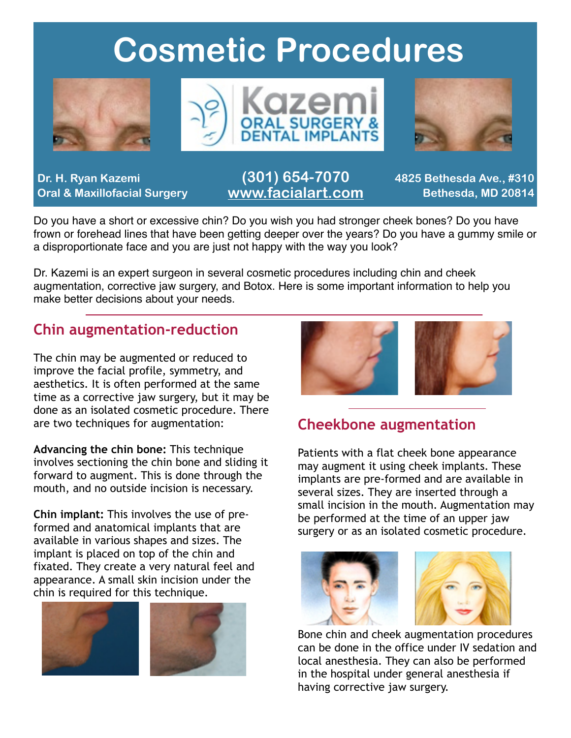## **Cosmetic Procedures**







**Dr. H. Ryan Kazemi Oral & Maxillofacial Surgery**

### **(301) 654-7070 [www.facialart.com](http://www.facialart.com)**

**4825 Bethesda Ave., #310 Bethesda, MD 20814**

Do you have a short or excessive chin? Do you wish you had stronger cheek bones? Do you have frown or forehead lines that have been getting deeper over the years? Do you have a gummy smile or a disproportionate face and you are just not happy with the way you look?

Dr. Kazemi is an expert surgeon in several cosmetic procedures including chin and cheek augmentation, corrective jaw surgery, and Botox. Here is some important information to help you make better decisions about your needs.

### **Chin augmentation-reduction**

The chin may be augmented or reduced to improve the facial profile, symmetry, and aesthetics. It is often performed at the same time as a corrective jaw surgery, but it may be done as an isolated cosmetic procedure. There are two techniques for augmentation:

**Advancing the chin bone:** This technique involves sectioning the chin bone and sliding it forward to augment. This is done through the mouth, and no outside incision is necessary.

**Chin implant:** This involves the use of preformed and anatomical implants that are available in various shapes and sizes. The implant is placed on top of the chin and fixated. They create a very natural feel and appearance. A small skin incision under the chin is required for this technique.







### **Cheekbone augmentation**

Patients with a flat cheek bone appearance may augment it using cheek implants. These implants are pre-formed and are available in several sizes. They are inserted through a small incision in the mouth. Augmentation may be performed at the time of an upper jaw surgery or as an isolated cosmetic procedure.





Bone chin and cheek augmentation procedures can be done in the office under IV sedation and local anesthesia. They can also be performed in the hospital under general anesthesia if having corrective jaw surgery.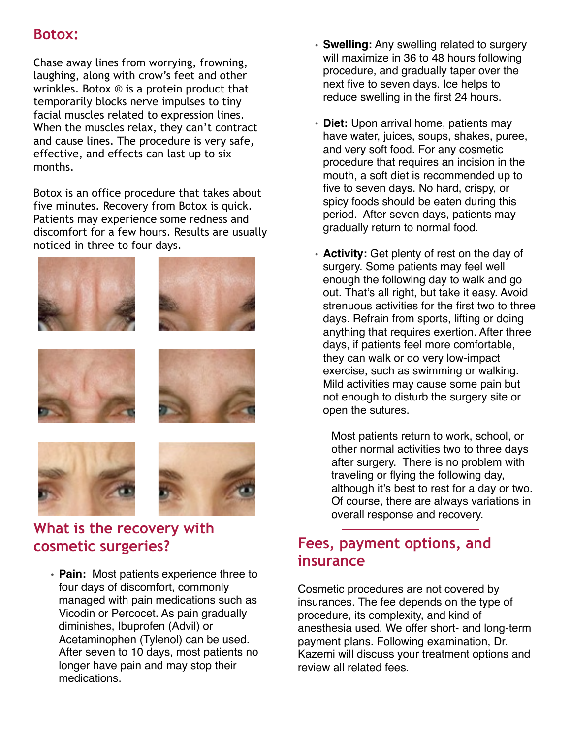### **Botox:**

Chase away lines from worrying, frowning, laughing, along with crow's feet and other wrinkles. Botox ® is a protein product that temporarily blocks nerve impulses to tiny facial muscles related to expression lines. When the muscles relax, they can't contract and cause lines. The procedure is very safe, effective, and effects can last up to six months.

Botox is an office procedure that takes about five minutes. Recovery from Botox is quick. Patients may experience some redness and discomfort for a few hours. Results are usually noticed in three to four days.



## **cosmetic surgeries?**

• **Pain:** Most patients experience three to four days of discomfort, commonly managed with pain medications such as Vicodin or Percocet. As pain gradually diminishes, Ibuprofen (Advil) or Acetaminophen (Tylenol) can be used. After seven to 10 days, most patients no longer have pain and may stop their medications.

- **Swelling:** Any swelling related to surgery will maximize in 36 to 48 hours following procedure, and gradually taper over the next five to seven days. Ice helps to reduce swelling in the first 24 hours.
- **Diet:** Upon arrival home, patients may have water, juices, soups, shakes, puree, and very soft food. For any cosmetic procedure that requires an incision in the mouth, a soft diet is recommended up to five to seven days. No hard, crispy, or spicy foods should be eaten during this period. After seven days, patients may gradually return to normal food.
- **Activity:** Get plenty of rest on the day of surgery. Some patients may feel well enough the following day to walk and go out. That's all right, but take it easy. Avoid strenuous activities for the first two to three days. Refrain from sports, lifting or doing anything that requires exertion. After three days, if patients feel more comfortable, they can walk or do very low-impact exercise, such as swimming or walking. Mild activities may cause some pain but not enough to disturb the surgery site or open the sutures.

Most patients return to work, school, or other normal activities two to three days after surgery. There is no problem with traveling or flying the following day, although it's best to rest for a day or two. Of course, there are always variations in overall response and recovery.

### **Fees, payment options, and insurance**

Cosmetic procedures are not covered by insurances. The fee depends on the type of procedure, its complexity, and kind of anesthesia used. We offer short- and long-term payment plans. Following examination, Dr. Kazemi will discuss your treatment options and review all related fees.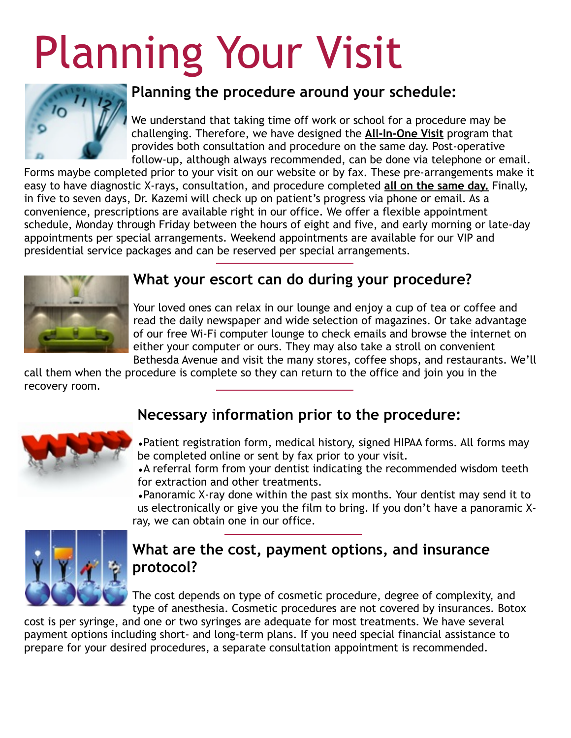# Planning Your Visit



### **Planning the procedure around your schedule:**

We understand that taking time off work or school for a procedure may be challenging. Therefore, we have designed the **All-In-One Visit** program that provides both consultation and procedure on the same day. Post-operative follow-up, although always recommended, can be done via telephone or email.

Forms maybe completed prior to your visit on our website or by fax. These pre-arrangements make it easy to have diagnostic X-rays, consultation, and procedure completed **all on the same day.** Finally, in five to seven days, Dr. Kazemi will check up on patient's progress via phone or email. As a convenience, prescriptions are available right in our office. We offer a flexible appointment schedule, Monday through Friday between the hours of eight and five, and early morning or late-day appointments per special arrangements. Weekend appointments are available for our VIP and presidential service packages and can be reserved per special arrangements.



### **What your escort can do during your procedure?**

Your loved ones can relax in our lounge and enjoy a cup of tea or coffee and read the daily newspaper and wide selection of magazines. Or take advantage of our free Wi-Fi computer lounge to check emails and browse the internet on either your computer or ours. They may also take a stroll on convenient Bethesda Avenue and visit the many stores, coffee shops, and restaurants. We'll

call them when the procedure is complete so they can return to the office and join you in the recovery room.

### **Necessary** i**nformation prior to the procedure:**



•Patient registration form, medical history, signed HIPAA forms. All forms may be completed online or sent by fax prior to your visit.

•A referral form from your dentist indicating the recommended wisdom teeth for extraction and other treatments.

•Panoramic X-ray done within the past six months. Your dentist may send it to us electronically or give you the film to bring. If you don't have a panoramic Xray, we can obtain one in our office.



### **What are the cost, payment options, and insurance protocol?**

The cost depends on type of cosmetic procedure, degree of complexity, and type of anesthesia. Cosmetic procedures are not covered by insurances. Botox

cost is per syringe, and one or two syringes are adequate for most treatments. We have several payment options including short- and long-term plans. If you need special financial assistance to prepare for your desired procedures, a separate consultation appointment is recommended.